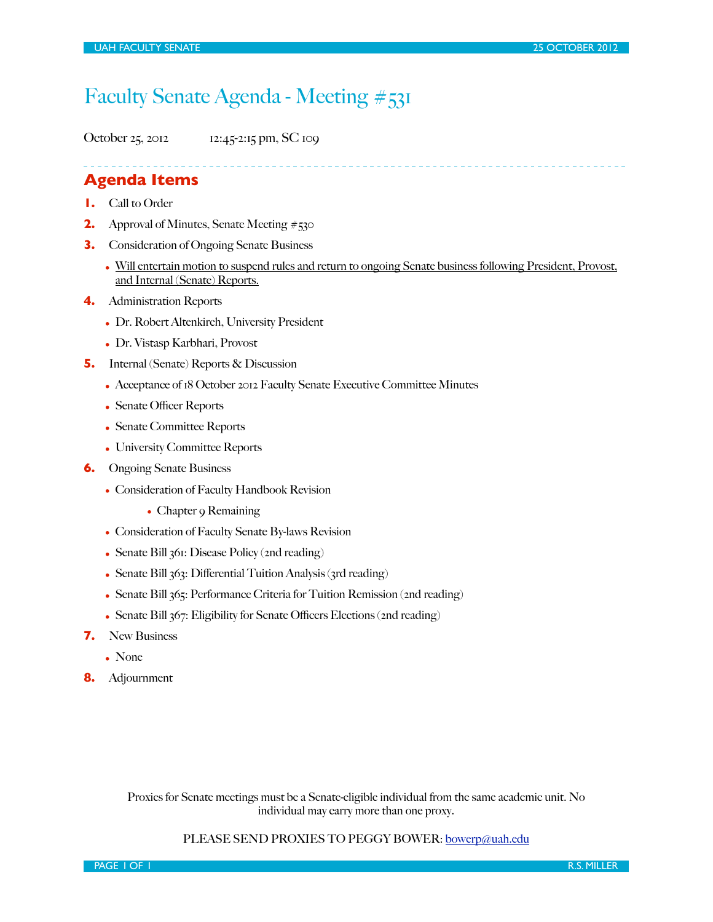# Faculty Senate Agenda - Meeting #531

October 25, 2012 12:45-2:15 pm, SC 109

## **Agenda Items**

- **1.** Call to Order
- **2.** Approval of Minutes, Senate Meeting #530
- **3.** Consideration of Ongoing Senate Business
	- Will entertain motion to suspend rules and return to ongoing Senate business following President, Provost, and Internal (Senate) Reports.
- **4.** Administration Reports
	- Dr. Robert Altenkirch, University President
	- Dr. Vistasp Karbhari, Provost
- **5.** Internal (Senate) Reports & Discussion
	- Acceptance of 18 October 2012 Faculty Senate Executive Committee Minutes
	- Senate Officer Reports
	- Senate Committee Reports
	- University Committee Reports
- **6.** Ongoing Senate Business
	- Consideration of Faculty Handbook Revision
		- Chapter 9 Remaining
	- Consideration of Faculty Senate By-laws Revision
	- Senate Bill 361: Disease Policy (2nd reading)
	- Senate Bill  $363$ : Differential Tuition Analysis ( $3rd$  reading)
	- Senate Bill 365: Performance Criteria for Tuition Remission (2nd reading)
	- Senate Bill  $367$ : Eligibility for Senate Officers Elections (2nd reading)
- **7.** New Business
	- None
- **8.** Adjournment

Proxies for Senate meetings must be a Senate-eligible individual from the same academic unit. No individual may carry more than one proxy.

#### PLEASE SEND PROXIES TO PEGGY BOWER: [bowerp@uah.edu](mailto:bowerp@uah.edu)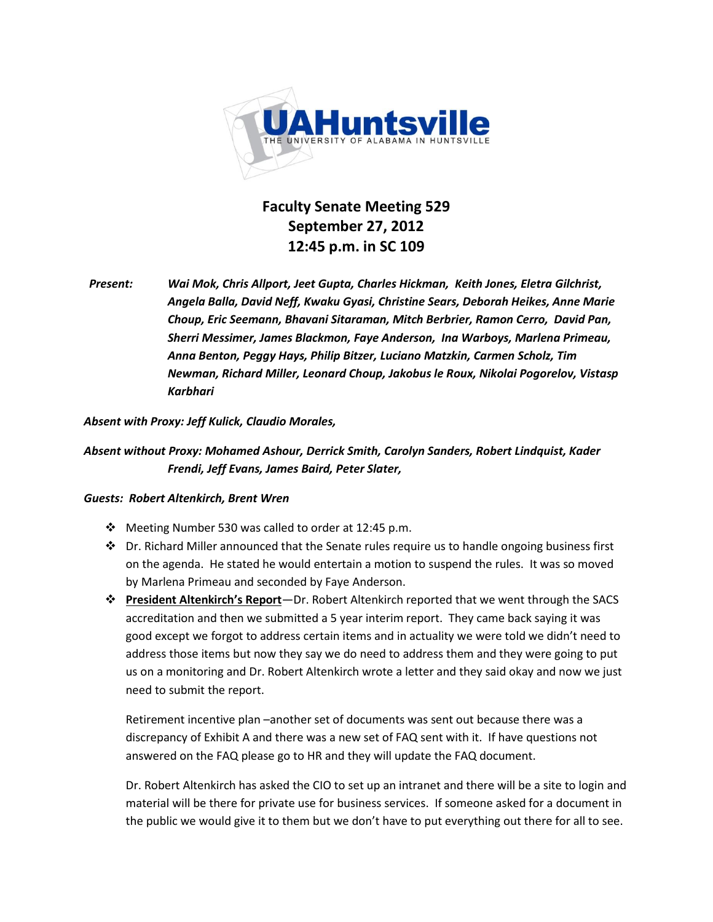

**Faculty Senate Meeting 529** September 27, 2012 **12:45 p.m. in SC 109** 

*Present:(( Wai(Mok,(Chris(Allport,(Jeet(Gupta,(Charles(Hickman,((Keith(Jones,(Eletra Gilchrist,( Angela(Balla,(David(Neff,(Kwaku(Gyasi,(Christine(Sears,(Deborah(Heikes,(Anne(Marie( Choup, Eric Seemann, Bhavani Sitaraman, Mitch Berbrier, Ramon Cerro, David Pan,* Sherri Messimer, James Blackmon, Faye Anderson, Ina Warboys, Marlena Primeau, *Anna(Benton,(Peggy(Hays,(Philip(Bitzer, Luciano(Matzkin,(Carmen(Scholz,(Tim Newman, Richard Miller, Leonard Choup, Jakobus le Roux, Nikolai Pogorelov, Vistasp Karbhari*

#### Absent with Proxy: Jeff Kulick, Claudio Morales,

### *Absent(without(Proxy: Mohamed(Ashour,(Derrick(Smith, Carolyn(Sanders, Robert(Lindquist,(Kader( Frendi, Jeff(Evans, James(Baird, Peter(Slater,*

#### **Guests: Robert Altenkirch, Brent Wren**

- $\cdot$  Meeting Number 530 was called to order at 12:45 p.m.
- $\cdot$  Dr. Richard Miller announced that the Senate rules require us to handle ongoing business first on the agenda. He stated he would entertain a motion to suspend the rules. It was so moved by Marlena Primeau and seconded by Faye Anderson.
- $\diamond$  **President Altenkirch's Report**—Dr. Robert Altenkirch reported that we went through the SACS accreditation and then we submitted a 5 year interim report. They came back saying it was good except we forgot to address certain items and in actuality we were told we didn't need to address those items but now they say we do need to address them and they were going to put us on a monitoring and Dr. Robert Altenkirch wrote a letter and they said okay and now we just need to submit the report.

Retirement incentive plan -another set of documents was sent out because there was a discrepancy of Exhibit A and there was a new set of FAQ sent with it. If have questions not answered on the FAQ please go to HR and they will update the FAQ document.

Dr. Robert Altenkirch has asked the CIO to set up an intranet and there will be a site to login and material will be there for private use for business services. If someone asked for a document in the public we would give it to them but we don't have to put everything out there for all to see.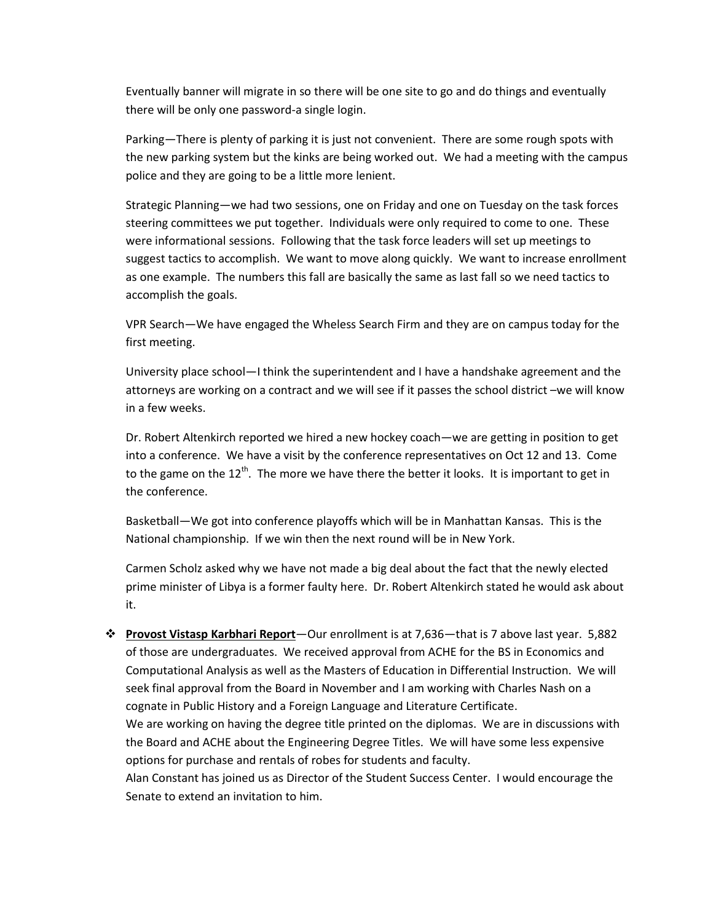Eventually banner will migrate in so there will be one site to go and do things and eventually there will be only one password-a single login.

Parking–There is plenty of parking it is just not convenient. There are some rough spots with the new parking system but the kinks are being worked out. We had a meeting with the campus police and they are going to be a little more lenient.

Strategic Planning—we had two sessions, one on Friday and one on Tuesday on the task forces steering committees we put together. Individuals were only required to come to one. These were informational sessions. Following that the task force leaders will set up meetings to suggest tactics to accomplish. We want to move along quickly. We want to increase enrollment as one example. The numbers this fall are basically the same as last fall so we need tactics to accomplish the goals.

VPR Search–We have engaged the Wheless Search Firm and they are on campus today for the first meeting.

University place school–I think the superintendent and I have a handshake agreement and the attorneys are working on a contract and we will see if it passes the school district -we will know in a few weeks.

Dr. Robert Altenkirch reported we hired a new hockey coach—we are getting in position to get into a conference. We have a visit by the conference representatives on Oct 12 and 13. Come to the game on the  $12^{th}$ . The more we have there the better it looks. It is important to get in the conference.

Basketball—We got into conference playoffs which will be in Manhattan Kansas. This is the National championship. If we win then the next round will be in New York.

Carmen Scholz asked why we have not made a big deal about the fact that the newly elected prime minister of Libya is a former faulty here. Dr. Robert Altenkirch stated he would ask about it.

 $*$  **Provost Vistasp Karbhari Report**—Our enrollment is at 7,636–that is 7 above last year. 5,882 of those are undergraduates. We received approval from ACHE for the BS in Economics and Computational Analysis as well as the Masters of Education in Differential Instruction. We will seek final approval from the Board in November and I am working with Charles Nash on a cognate in Public History and a Foreign Language and Literature Certificate.

We are working on having the degree title printed on the diplomas. We are in discussions with the Board and ACHE about the Engineering Degree Titles. We will have some less expensive options for purchase and rentals of robes for students and faculty.

Alan Constant has joined us as Director of the Student Success Center. I would encourage the Senate to extend an invitation to him.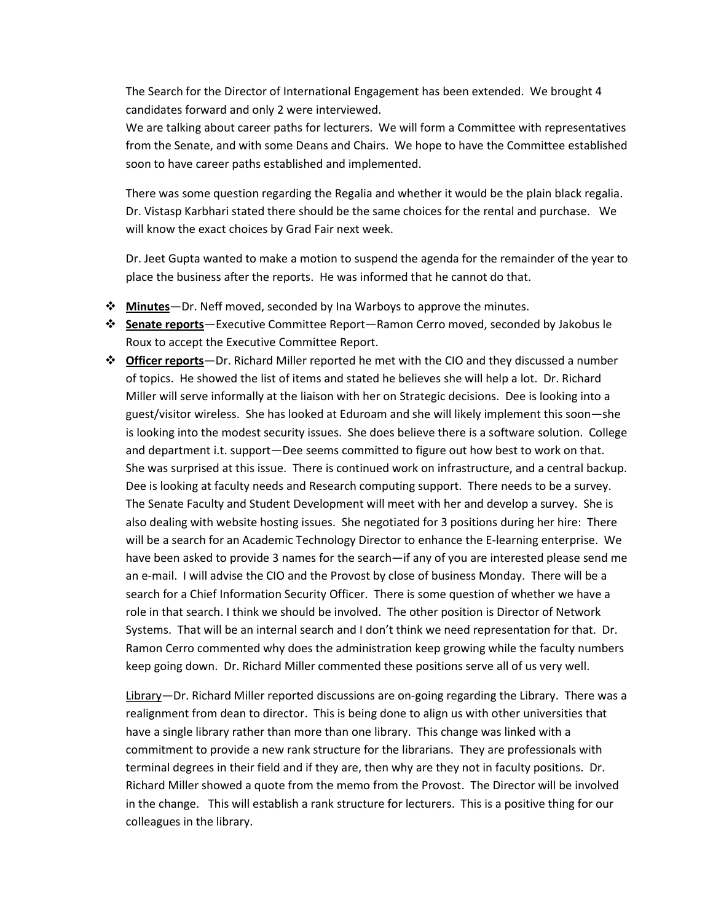The Search for the Director of International Engagement has been extended. We brought 4 candidates forward and only 2 were interviewed.

We are talking about career paths for lecturers. We will form a Committee with representatives from the Senate, and with some Deans and Chairs. We hope to have the Committee established soon to have career paths established and implemented.

There was some question regarding the Regalia and whether it would be the plain black regalia. Dr. Vistasp Karbhari stated there should be the same choices for the rental and purchase. We will know the exact choices by Grad Fair next week.

Dr. Jeet Gupta wanted to make a motion to suspend the agenda for the remainder of the year to place the business after the reports. He was informed that he cannot do that.

- **Minutes** Dr. Neff moved, seconded by Ina Warboys to approve the minutes.
- $*$  **Senate reports** Executive Committee Report Ramon Cerro moved, seconded by Jakobus le Roux to accept the Executive Committee Report.
- $\dots$  **Officer reports** Dr. Richard Miller reported he met with the CIO and they discussed a number of topics. He showed the list of items and stated he believes she will help a lot. Dr. Richard Miller will serve informally at the liaison with her on Strategic decisions. Dee is looking into a guest/visitor wireless. She has looked at Eduroam and she will likely implement this soon-she is looking into the modest security issues. She does believe there is a software solution. College and department i.t. support–Dee seems committed to figure out how best to work on that. She was surprised at this issue. There is continued work on infrastructure, and a central backup. Dee is looking at faculty needs and Research computing support. There needs to be a survey. The Senate Faculty and Student Development will meet with her and develop a survey. She is also dealing with website hosting issues. She negotiated for 3 positions during her hire: There will be a search for an Academic Technology Director to enhance the E-learning enterprise. We have been asked to provide 3 names for the search—if any of you are interested please send me an e-mail. I will advise the CIO and the Provost by close of business Monday. There will be a search for a Chief Information Security Officer. There is some question of whether we have a role in that search. I think we should be involved. The other position is Director of Network Systems. That will be an internal search and I don't think we need representation for that. Dr. Ramon Cerro commented why does the administration keep growing while the faculty numbers keep going down. Dr. Richard Miller commented these positions serve all of us very well.

Library–Dr. Richard Miller reported discussions are on-going regarding the Library. There was a realignment from dean to director. This is being done to align us with other universities that have a single library rather than more than one library. This change was linked with a commitment to provide a new rank structure for the librarians. They are professionals with terminal degrees in their field and if they are, then why are they not in faculty positions. Dr. Richard Miller showed a quote from the memo from the Provost. The Director will be involved in the change. This will establish a rank structure for lecturers. This is a positive thing for our colleagues in the library.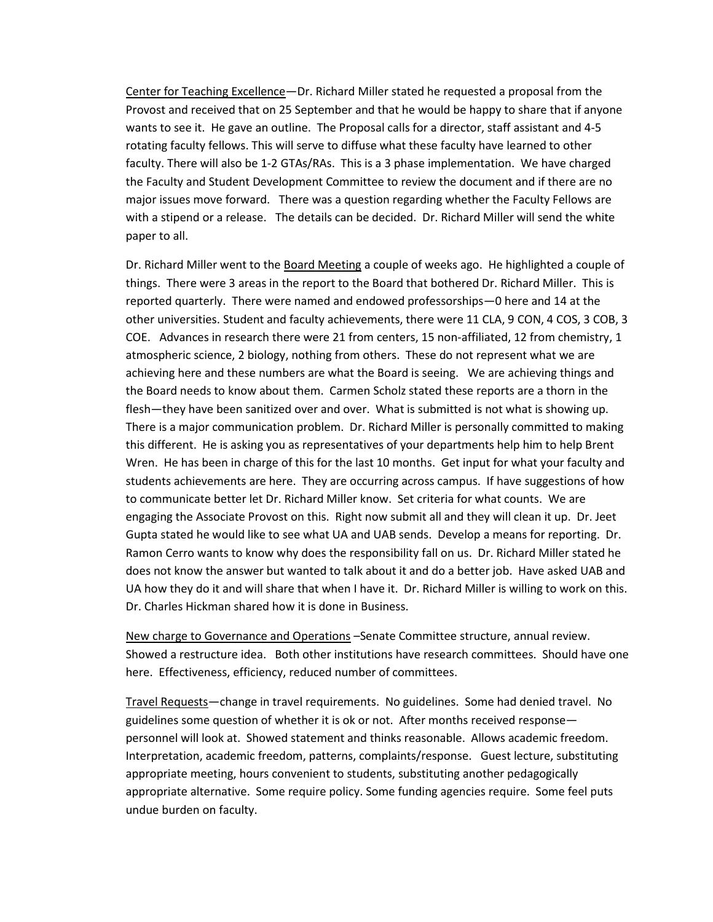Center for Teaching Excellence – Dr. Richard Miller stated he requested a proposal from the Provost and received that on 25 September and that he would be happy to share that if anyone wants to see it. He gave an outline. The Proposal calls for a director, staff assistant and 4-5 rotating faculty fellows. This will serve to diffuse what these faculty have learned to other faculty. There will also be 1-2 GTAs/RAs. This is a 3 phase implementation. We have charged the Faculty and Student Development Committee to review the document and if there are no major issues move forward. There was a question regarding whether the Faculty Fellows are with a stipend or a release. The details can be decided. Dr. Richard Miller will send the white paper to all.

Dr. Richard Miller went to the Board Meeting a couple of weeks ago. He highlighted a couple of things. There were 3 areas in the report to the Board that bothered Dr. Richard Miller. This is reported quarterly. There were named and endowed professorships–0 here and 14 at the other universities. Student and faculty achievements, there were 11 CLA, 9 CON, 4 COS, 3 COB, 3 COE. Advances in research there were 21 from centers, 15 non-affiliated, 12 from chemistry, 1 atmospheric science, 2 biology, nothing from others. These do not represent what we are achieving here and these numbers are what the Board is seeing. We are achieving things and the Board needs to know about them. Carmen Scholz stated these reports are a thorn in the flesh—they have been sanitized over and over. What is submitted is not what is showing up. There is a major communication problem. Dr. Richard Miller is personally committed to making this different. He is asking you as representatives of your departments help him to help Brent Wren. He has been in charge of this for the last 10 months. Get input for what your faculty and students achievements are here. They are occurring across campus. If have suggestions of how to communicate better let Dr. Richard Miller know. Set criteria for what counts. We are engaging the Associate Provost on this. Right now submit all and they will clean it up. Dr. Jeet Gupta stated he would like to see what UA and UAB sends. Develop a means for reporting. Dr. Ramon Cerro wants to know why does the responsibility fall on us. Dr. Richard Miller stated he does not know the answer but wanted to talk about it and do a better job. Have asked UAB and UA how they do it and will share that when I have it. Dr. Richard Miller is willing to work on this. Dr. Charles Hickman shared how it is done in Business.

New charge to Governance and Operations -Senate Committee structure, annual review. Showed a restructure idea. Both other institutions have research committees. Should have one here. Effectiveness, efficiency, reduced number of committees.

Travel Requests—change in travel requirements. No guidelines. Some had denied travel. No guidelines some question of whether it is ok or not. After months received response personnel will look at. Showed statement and thinks reasonable. Allows academic freedom. Interpretation, academic freedom, patterns, complaints/response. Guest lecture, substituting appropriate meeting, hours convenient to students, substituting another pedagogically appropriate alternative. Some require policy. Some funding agencies require. Some feel puts undue burden on faculty.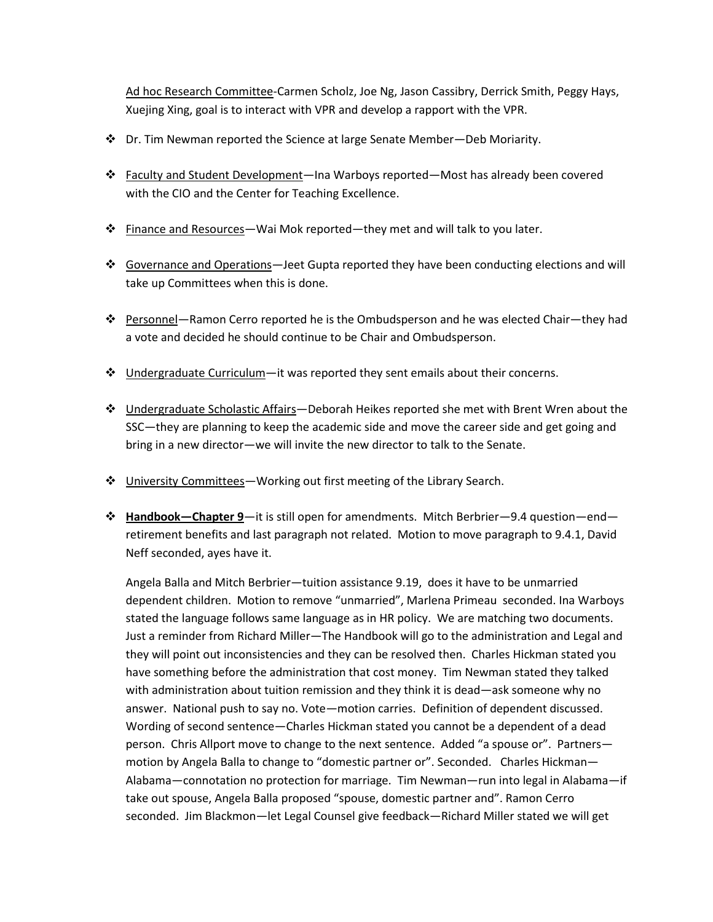Ad hoc Research Committee-Carmen Scholz, Joe Ng, Jason Cassibry, Derrick Smith, Peggy Hays, Xuejing Xing, goal is to interact with VPR and develop a rapport with the VPR.

- $\dots$  Dr. Tim Newman reported the Science at large Senate Member–Deb Moriarity.
- $\dots$  Faculty and Student Development—Ina Warboys reported—Most has already been covered with the CIO and the Center for Teaching Excellence.
- $\div$  Finance and Resources—Wai Mok reported—they met and will talk to you later.
- Governance and Operations—Jeet Gupta reported they have been conducting elections and will take up Committees when this is done.
- $\cdot \cdot$  Personnel—Ramon Cerro reported he is the Ombudsperson and he was elected Chair—they had a vote and decided he should continue to be Chair and Ombudsperson.
- Undergraduate Curriculum—it was reported they sent emails about their concerns.
- $\dots$  Undergraduate Scholastic Affairs–Deborah Heikes reported she met with Brent Wren about the SSC—they are planning to keep the academic side and move the career side and get going and bring in a new director-we will invite the new director to talk to the Senate.
- University Committees Working out first meeting of the Library Search.
- $\div$  **Handbook**–Chapter 9</u>—it is still open for amendments. Mitch Berbrier–9.4 question–end– retirement benefits and last paragraph not related. Motion to move paragraph to 9.4.1, David Neff seconded, ayes have it.

Angela Balla and Mitch Berbrier—tuition assistance 9.19, does it have to be unmarried dependent children. Motion to remove "unmarried", Marlena Primeau seconded. Ina Warboys stated the language follows same language as in HR policy. We are matching two documents. Just a reminder from Richard Miller–The Handbook will go to the administration and Legal and they will point out inconsistencies and they can be resolved then. Charles Hickman stated you have something before the administration that cost money. Tim Newman stated they talked with administration about tuition remission and they think it is dead—ask someone why no answer. National push to say no. Vote-motion carries. Definition of dependent discussed. Wording of second sentence - Charles Hickman stated you cannot be a dependent of a dead person. Chris Allport move to change to the next sentence. Added "a spouse or". Partners motion by Angela Balla to change to "domestic partner or". Seconded. Charles Hickman-Alabama–connotation no protection for marriage. Tim Newman–run into legal in Alabama–if take out spouse, Angela Balla proposed "spouse, domestic partner and". Ramon Cerro seconded. Jim Blackmon–let Legal Counsel give feedback–Richard Miller stated we will get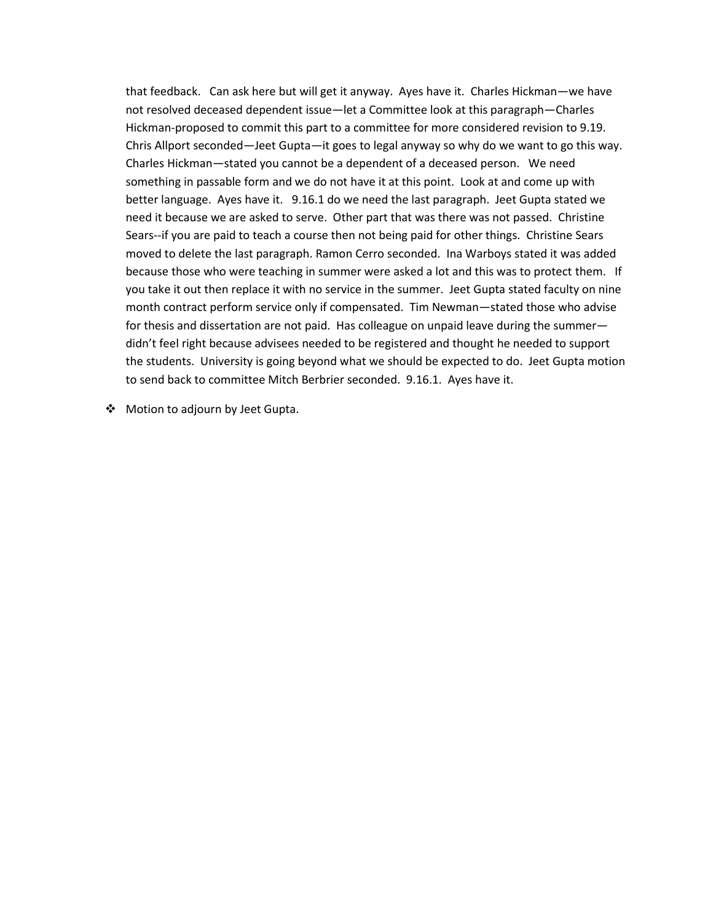that feedback. Can ask here but will get it anyway. Ayes have it. Charles Hickman—we have not resolved deceased dependent issue—let a Committee look at this paragraph–Charles Hickman-proposed to commit this part to a committee for more considered revision to 9.19. Chris Allport seconded–Jeet Gupta–it goes to legal anyway so why do we want to go this way. Charles Hickman - stated you cannot be a dependent of a deceased person. We need something in passable form and we do not have it at this point. Look at and come up with better language. Ayes have it. 9.16.1 do we need the last paragraph. Jeet Gupta stated we need it because we are asked to serve. Other part that was there was not passed. Christine Sears--if you are paid to teach a course then not being paid for other things. Christine Sears moved to delete the last paragraph. Ramon Cerro seconded. Ina Warboys stated it was added because those who were teaching in summer were asked a lot and this was to protect them. If you take it out then replace it with no service in the summer. Jeet Gupta stated faculty on nine month contract perform service only if compensated. Tim Newman–stated those who advise for thesis and dissertation are not paid. Has colleague on unpaid leave during the summer didn't feel right because advisees needed to be registered and thought he needed to support the students. University is going beyond what we should be expected to do. Jeet Gupta motion to send back to committee Mitch Berbrier seconded. 9.16.1. Ayes have it.

 $\clubsuit$  Motion to adjourn by Jeet Gupta.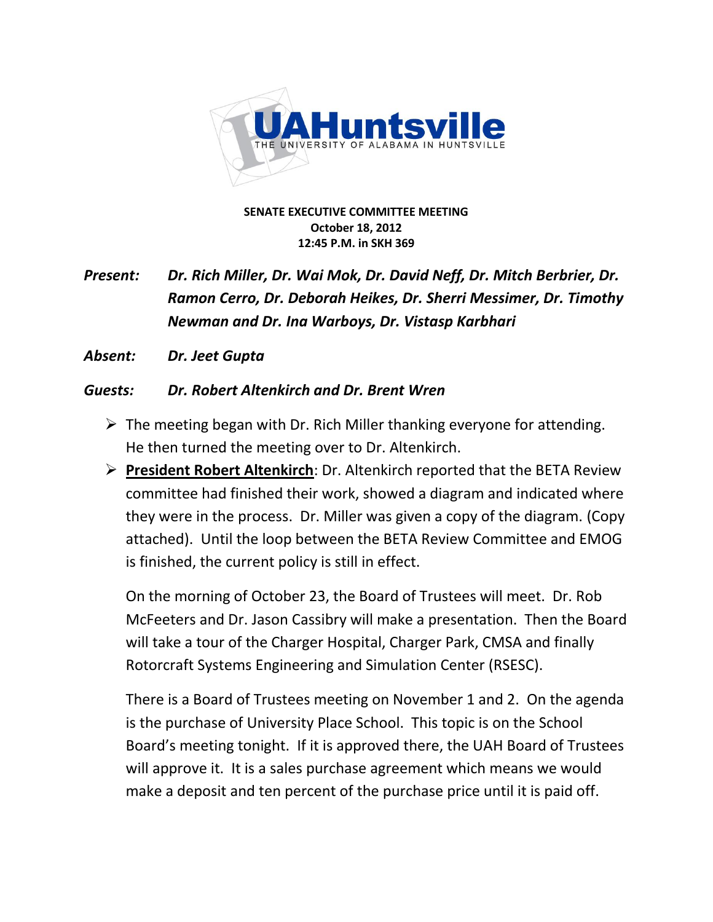

**SENATE EXECUTIVE COMMITTEE MEETING October&18,&2012 12:45 P.M. in SKH 369** 

# *Present: Dr. Rich Miller, Dr. Wai Mok, Dr. David Neff, Dr. Mitch Berbrier, Dr. Ramon Cerro, Dr. Deborah Heikes, Dr. Sherri Messimer, Dr. Timothy Newman(and(Dr.(Ina(Warboys,(Dr.(Vistasp(Karbhari*

Absent: Dr. Jeet Gupta

## *Guests:(( Dr.(Robert(Altenkirch(and(Dr.(Brent(Wren*

- $\triangleright$  The meeting began with Dr. Rich Miller thanking everyone for attending. He then turned the meeting over to Dr. Altenkirch.
- **► President Robert Altenkirch:** Dr. Altenkirch reported that the BETA Review committee had finished their work, showed a diagram and indicated where they were in the process. Dr. Miller was given a copy of the diagram. (Copy attached). Until the loop between the BETA Review Committee and EMOG is finished, the current policy is still in effect.

On the morning of October 23, the Board of Trustees will meet. Dr. Rob McFeeters and Dr. Jason Cassibry will make a presentation. Then the Board will take a tour of the Charger Hospital, Charger Park, CMSA and finally Rotorcraft Systems Engineering and Simulation Center (RSESC).

There is a Board of Trustees meeting on November 1 and 2. On the agenda is the purchase of University Place School. This topic is on the School Board's meeting tonight. If it is approved there, the UAH Board of Trustees will approve it. It is a sales purchase agreement which means we would make a deposit and ten percent of the purchase price until it is paid off.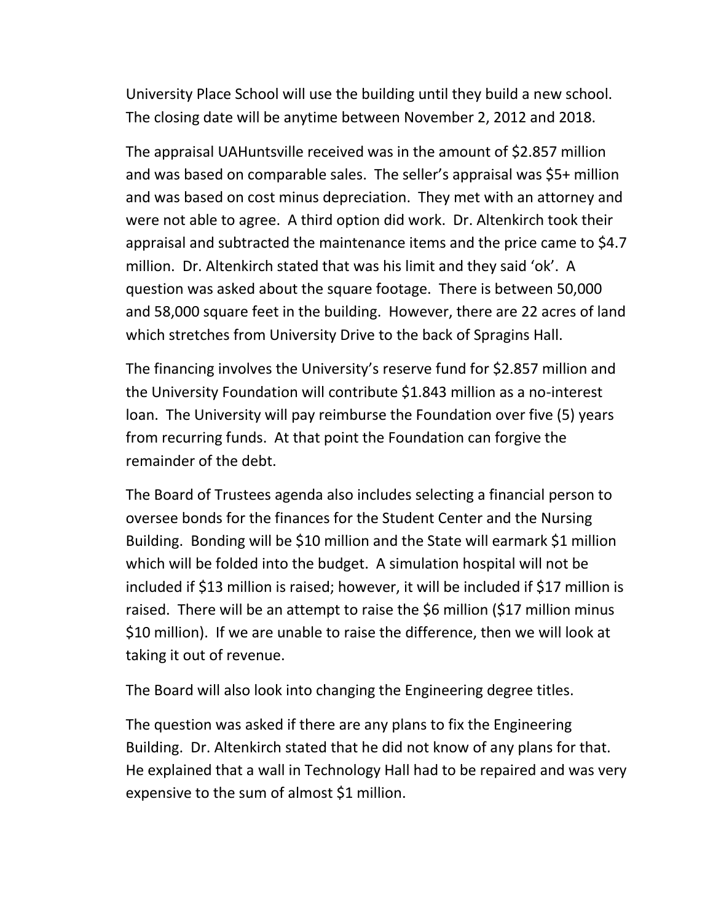University Place School will use the building until they build a new school. The closing date will be anytime between November 2, 2012 and 2018.

The appraisal UAHuntsville received was in the amount of \$2.857 million and was based on comparable sales. The seller's appraisal was \$5+ million and was based on cost minus depreciation. They met with an attorney and were not able to agree. A third option did work. Dr. Altenkirch took their appraisal and subtracted the maintenance items and the price came to  $$4.7$ million. Dr. Altenkirch stated that was his limit and they said 'ok'. A question was asked about the square footage. There is between 50,000 and 58,000 square feet in the building. However, there are 22 acres of land which stretches from University Drive to the back of Spragins Hall.

The financing involves the University's reserve fund for \$2.857 million and the University Foundation will contribute \$1.843 million as a no-interest loan. The University will pay reimburse the Foundation over five (5) years from recurring funds. At that point the Foundation can forgive the remainder of the debt.

The Board of Trustees agenda also includes selecting a financial person to oversee bonds for the finances for the Student Center and the Nursing Building. Bonding will be \$10 million and the State will earmark \$1 million which will be folded into the budget. A simulation hospital will not be included if  $$13$  million is raised; however, it will be included if  $$17$  million is raised. There will be an attempt to raise the \$6 million (\$17 million minus) \$10 million). If we are unable to raise the difference, then we will look at taking it out of revenue.

The Board will also look into changing the Engineering degree titles.

The question was asked if there are any plans to fix the Engineering Building. Dr. Altenkirch stated that he did not know of any plans for that. He explained that a wall in Technology Hall had to be repaired and was very expensive to the sum of almost  $$1$  million.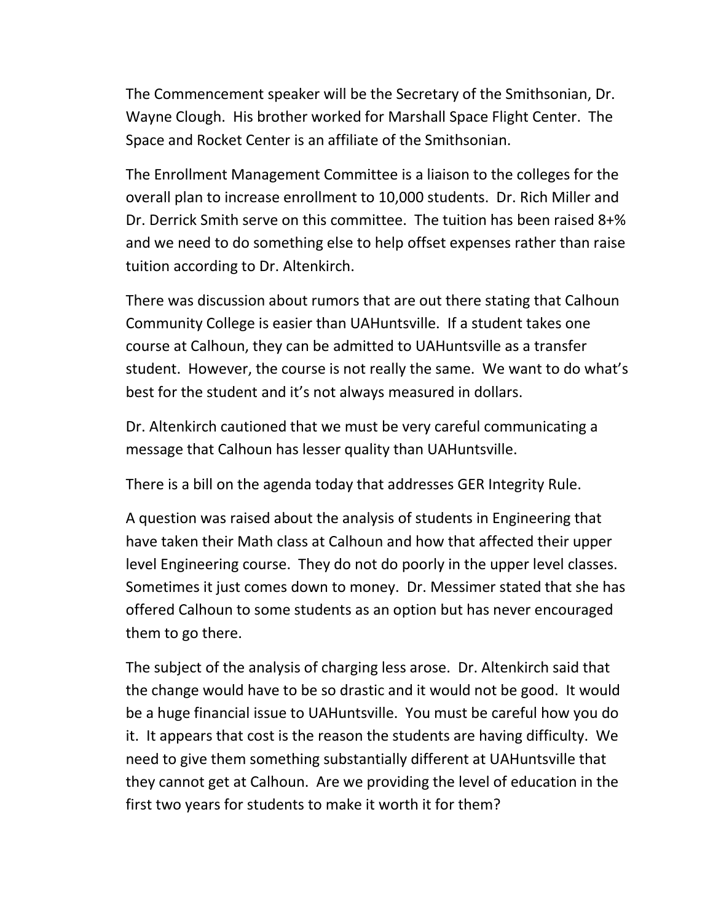The Commencement speaker will be the Secretary of the Smithsonian, Dr. Wayne Clough. His brother worked for Marshall Space Flight Center. The Space and Rocket Center is an affiliate of the Smithsonian.

The Enrollment Management Committee is a liaison to the colleges for the overall plan to increase enrollment to 10,000 students. Dr. Rich Miller and Dr. Derrick Smith serve on this committee. The tuition has been raised 8+% and we need to do something else to help offset expenses rather than raise tuition according to Dr. Altenkirch.

There was discussion about rumors that are out there stating that Calhoun Community College is easier than UAHuntsville. If a student takes one course at Calhoun, they can be admitted to UAHuntsville as a transfer student. However, the course is not really the same. We want to do what's best for the student and it's not always measured in dollars.

Dr. Altenkirch cautioned that we must be very careful communicating a message that Calhoun has lesser quality than UAHuntsville.

There is a bill on the agenda today that addresses GER Integrity Rule.

A question was raised about the analysis of students in Engineering that have taken their Math class at Calhoun and how that affected their upper level Engineering course. They do not do poorly in the upper level classes. Sometimes it just comes down to money. Dr. Messimer stated that she has offered Calhoun to some students as an option but has never encouraged them to go there.

The subject of the analysis of charging less arose. Dr. Altenkirch said that the change would have to be so drastic and it would not be good. It would be a huge financial issue to UAHuntsville. You must be careful how you do it. It appears that cost is the reason the students are having difficulty. We need to give them something substantially different at UAHuntsville that they cannot get at Calhoun. Are we providing the level of education in the first two years for students to make it worth it for them?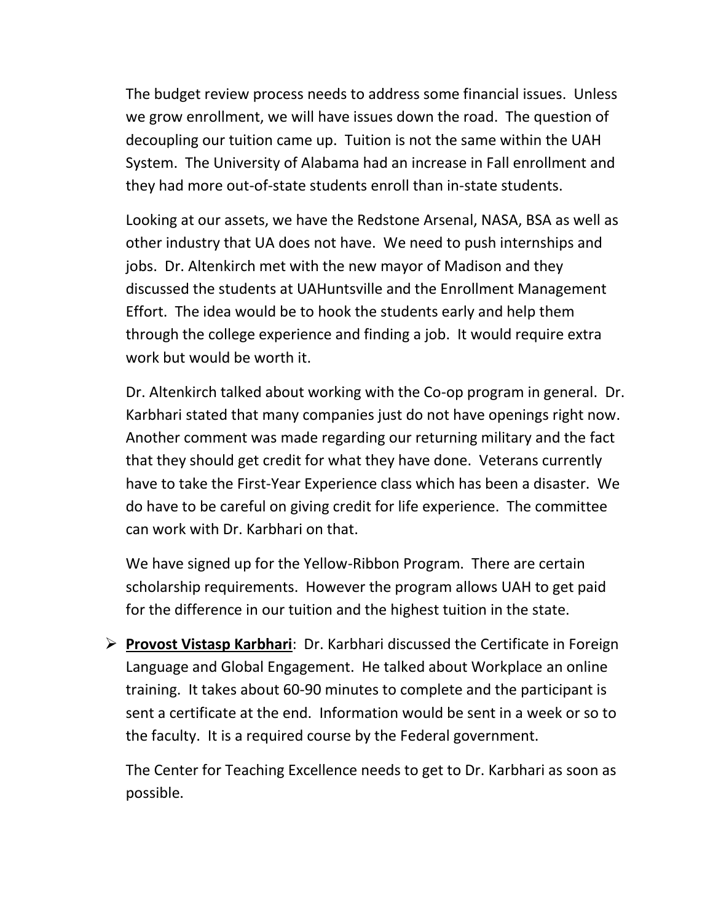The budget review process needs to address some financial issues. Unless we grow enrollment, we will have issues down the road. The question of decoupling our tuition came up. Tuition is not the same within the UAH System. The University of Alabama had an increase in Fall enrollment and they had more out-of-state students enroll than in-state students.

Looking at our assets, we have the Redstone Arsenal, NASA, BSA as well as other industry that UA does not have. We need to push internships and jobs. Dr. Altenkirch met with the new mayor of Madison and they discussed the students at UAHuntsville and the Enrollment Management Effort. The idea would be to hook the students early and help them through the college experience and finding a job. It would require extra work but would be worth it.

Dr. Altenkirch talked about working with the Co-op program in general. Dr. Karbhari stated that many companies just do not have openings right now. Another comment was made regarding our returning military and the fact that they should get credit for what they have done. Veterans currently have to take the First-Year Experience class which has been a disaster. We do have to be careful on giving credit for life experience. The committee can work with Dr. Karbhari on that.

We have signed up for the Yellow-Ribbon Program. There are certain scholarship requirements. However the program allows UAH to get paid for the difference in our tuition and the highest tuition in the state.

**Execuse:** Provost Vistasp Karbhari: Dr. Karbhari discussed the Certificate in Foreign Language and Global Engagement. He talked about Workplace an online training. It takes about 60-90 minutes to complete and the participant is sent a certificate at the end. Information would be sent in a week or so to the faculty. It is a required course by the Federal government.

The Center for Teaching Excellence needs to get to Dr. Karbhari as soon as possible.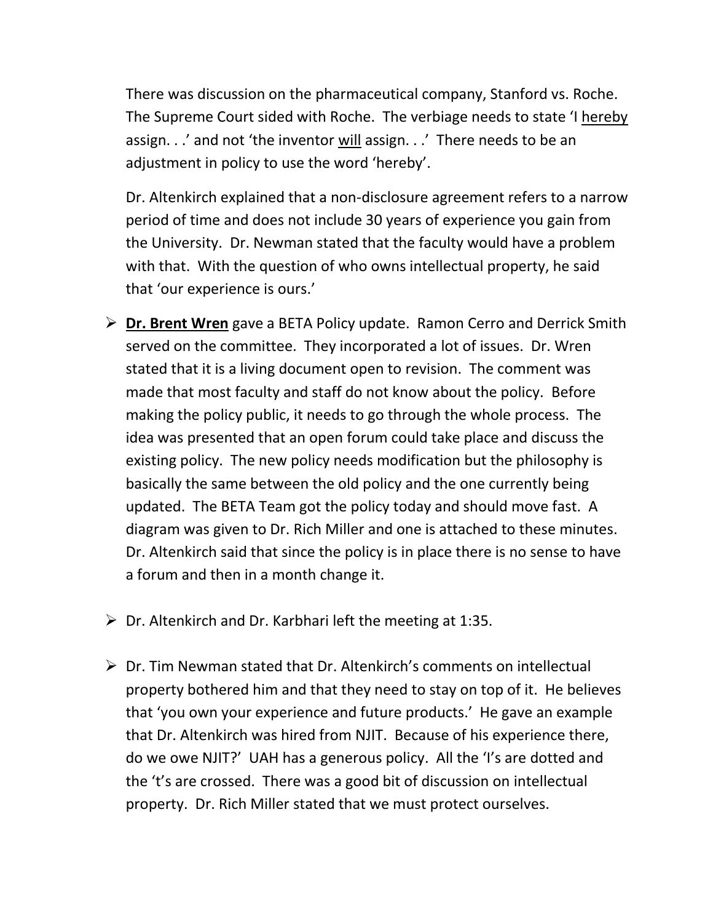There was discussion on the pharmaceutical company, Stanford vs. Roche. The Supreme Court sided with Roche. The verbiage needs to state 'I hereby assign. . .' and not 'the inventor will assign. . .' There needs to be an adjustment in policy to use the word 'hereby'.

Dr. Altenkirch explained that a non-disclosure agreement refers to a narrow period of time and does not include 30 years of experience you gain from the University. Dr. Newman stated that the faculty would have a problem with that. With the question of who owns intellectual property, he said that 'our experience is ours.'

- **► Dr. Brent Wren** gave a BETA Policy update. Ramon Cerro and Derrick Smith served on the committee. They incorporated a lot of issues. Dr. Wren stated that it is a living document open to revision. The comment was made that most faculty and staff do not know about the policy. Before making the policy public, it needs to go through the whole process. The idea was presented that an open forum could take place and discuss the existing policy. The new policy needs modification but the philosophy is basically the same between the old policy and the one currently being updated. The BETA Team got the policy today and should move fast. A diagram was given to Dr. Rich Miller and one is attached to these minutes. Dr. Altenkirch said that since the policy is in place there is no sense to have a forum and then in a month change it.
- $\triangleright$  Dr. Altenkirch and Dr. Karbhari left the meeting at 1:35.
- $\triangleright$  Dr. Tim Newman stated that Dr. Altenkirch's comments on intellectual property bothered him and that they need to stay on top of it. He believes that 'you own your experience and future products.' He gave an example that Dr. Altenkirch was hired from NJIT. Because of his experience there, do we owe NJIT?' UAH has a generous policy. All the 'I's are dotted and the 't's are crossed. There was a good bit of discussion on intellectual property. Dr. Rich Miller stated that we must protect ourselves.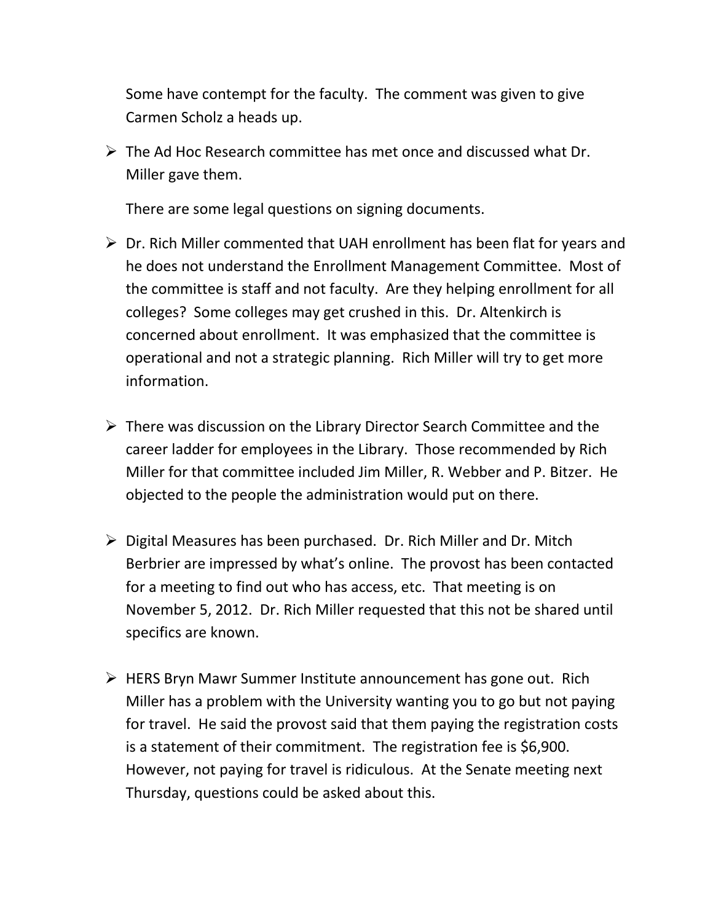Some have contempt for the faculty. The comment was given to give Carmen Scholz a heads up.

 $\triangleright$  The Ad Hoc Research committee has met once and discussed what Dr. Miller gave them.

There are some legal questions on signing documents.

- $\triangleright$  Dr. Rich Miller commented that UAH enrollment has been flat for years and he does not understand the Enrollment Management Committee. Most of the committee is staff and not faculty. Are they helping enrollment for all colleges? Some colleges may get crushed in this. Dr. Altenkirch is concerned about enrollment. It was emphasized that the committee is operational and not a strategic planning. Rich Miller will try to get more information.
- $\triangleright$  There was discussion on the Library Director Search Committee and the career ladder for employees in the Library. Those recommended by Rich Miller for that committee included Jim Miller, R. Webber and P. Bitzer. He objected to the people the administration would put on there.
- $\triangleright$  Digital Measures has been purchased. Dr. Rich Miller and Dr. Mitch Berbrier are impressed by what's online. The provost has been contacted for a meeting to find out who has access, etc. That meeting is on November 5, 2012. Dr. Rich Miller requested that this not be shared until specifics are known.
- $\triangleright$  HERS Bryn Mawr Summer Institute announcement has gone out. Rich Miller has a problem with the University wanting you to go but not paying for travel. He said the provost said that them paying the registration costs is a statement of their commitment. The registration fee is \$6,900. However, not paying for travel is ridiculous. At the Senate meeting next Thursday, questions could be asked about this.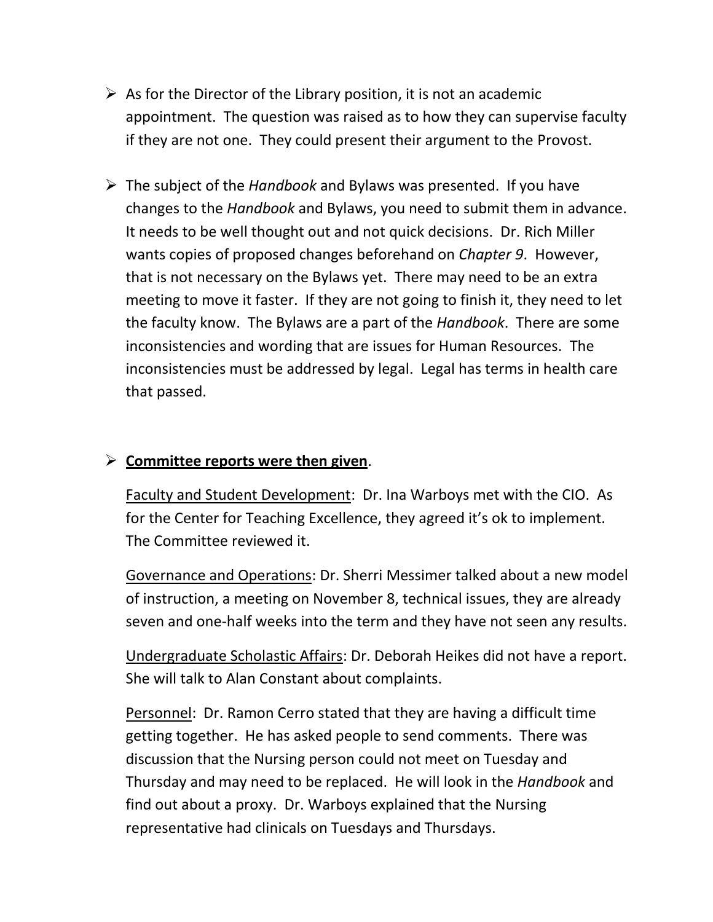- $\triangleright$  As for the Director of the Library position, it is not an academic appointment. The question was raised as to how they can supervise faculty if they are not one. They could present their argument to the Provost.
- $\triangleright$  The subject of the *Handbook* and Bylaws was presented. If you have changes to the *Handbook* and Bylaws, you need to submit them in advance. It needs to be well thought out and not quick decisions. Dr. Rich Miller wants copies of proposed changes beforehand on *Chapter 9*. However, that is not necessary on the Bylaws yet. There may need to be an extra meeting to move it faster. If they are not going to finish it, they need to let the faculty know. The Bylaws are a part of the *Handbook*. There are some inconsistencies and wording that are issues for Human Resources. The inconsistencies must be addressed by legal. Legal has terms in health care that passed.

# $\triangleright$  Committee reports were then given.

Faculty and Student Development: Dr. Ina Warboys met with the CIO. As for the Center for Teaching Excellence, they agreed it's ok to implement. The Committee reviewed it.

Governance and Operations: Dr. Sherri Messimer talked about a new model of instruction, a meeting on November 8, technical issues, they are already seven and one-half weeks into the term and they have not seen any results.

Undergraduate Scholastic Affairs: Dr. Deborah Heikes did not have a report. She will talk to Alan Constant about complaints.

Personnel: Dr. Ramon Cerro stated that they are having a difficult time getting together. He has asked people to send comments. There was discussion that the Nursing person could not meet on Tuesday and Thursday and may need to be replaced. He will look in the *Handbook* and find out about a proxy. Dr. Warboys explained that the Nursing representative had clinicals on Tuesdays and Thursdays.